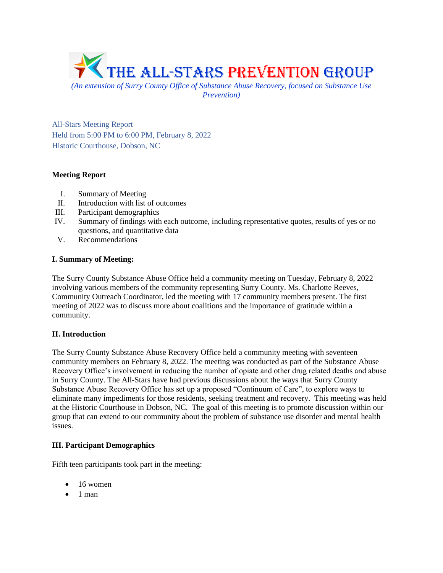

*(An extension of Surry County Office of Substance Abuse Recovery, focused on Substance Use Prevention)*

All-Stars Meeting Report Held from 5:00 PM to 6:00 PM, February 8, 2022 Historic Courthouse, Dobson, NC

# **Meeting Report**

- I. Summary of Meeting
- II. Introduction with list of outcomes
- III. Participant demographics
- IV. Summary of findings with each outcome, including representative quotes, results of yes or no questions, and quantitative data
- V. Recommendations

## **I. Summary of Meeting:**

The Surry County Substance Abuse Office held a community meeting on Tuesday, February 8, 2022 involving various members of the community representing Surry County. Ms. Charlotte Reeves, Community Outreach Coordinator, led the meeting with 17 community members present. The first meeting of 2022 was to discuss more about coalitions and the importance of gratitude within a community.

## **II. Introduction**

The Surry County Substance Abuse Recovery Office held a community meeting with seventeen community members on February 8, 2022. The meeting was conducted as part of the Substance Abuse Recovery Office's involvement in reducing the number of opiate and other drug related deaths and abuse in Surry County. The All-Stars have had previous discussions about the ways that Surry County Substance Abuse Recovery Office has set up a proposed "Continuum of Care", to explore ways to eliminate many impediments for those residents, seeking treatment and recovery. This meeting was held at the Historic Courthouse in Dobson, NC. The goal of this meeting is to promote discussion within our group that can extend to our community about the problem of substance use disorder and mental health issues.

# **III. Participant Demographics**

Fifth teen participants took part in the meeting:

- 16 women
- $\bullet$  1 man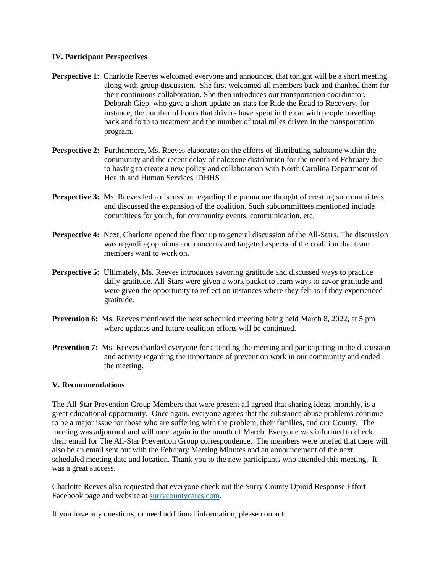#### **IV. Participant Perspectives**

- **Perspective 1:** Charlotte Reeves welcomed everyone and announced that tonight will be a short meeting along with group discussion. She first welcomed all members back and thanked them for their continuous collaboration. She then introduces our transportation coordinator, Deborah Giep, who gave a short update on stats for Ride the Road to Recovery, for instance, the number of hours that drivers have spent in the car with people travelling back and forth to treatment and the number of total miles driven in the transportation program.
- **Perspective 2:** Furthermore, Ms. Reeves elaborates on the efforts of distributing naloxone within the community and the recent delay of naloxone distribution for the month of February due to having to create a new policy and collaboration with North Carolina Department of Health and Human Services [DHHS].
- **Perspective 3:** Ms. Reeves led a discussion regarding the premature thought of creating subcommittees and discussed the expansion of the coalition. Such subcommittees mentioned include committees for youth, for community events, communication, etc.
- **Perspective 4:** Next, Charlotte opened the floor up to general discussion of the All-Stars. The discussion was regarding opinions and concerns and targeted aspects of the coalition that team members want to work on.
- **Perspective 5:** Ultimately, Ms. Reeves introduces savoring gratitude and discussed ways to practice daily gratitude. All-Stars were given a work packet to learn ways to savor gratitude and were given the opportunity to reflect on instances where they felt as if they experienced gratitude.
- **Prevention 6:** Ms. Reeves mentioned the next scheduled meeting being held March 8, 2022, at 5 pm where updates and future coalition efforts will be continued.
- **Prevention 7:** Ms. Reeves thanked everyone for attending the meeting and participating in the discussion and activity regarding the importance of prevention work in our community and ended the meeting.

## **V. Recommendations**

The All-Star Prevention Group Members that were present all agreed that sharing ideas, monthly, is a great educational opportunity. Once again, everyone agrees that the substance abuse problems continue to be a major issue for those who are suffering with the problem, their families, and our County. The meeting was adjourned and will meet again in the month of March. Everyone was informed to check their email for The All-Star Prevention Group correspondence. The members were briefed that there will also be an email sent out with the February Meeting Minutes and an announcement of the next scheduled meeting date and location. Thank you to the new participants who attended this meeting. It was a great success.

Charlotte Reeves also requested that everyone check out the Surry County Opioid Response Effort Facebook page and website at surrycountycares.com.

If you have any questions, or need additional information, please contact: